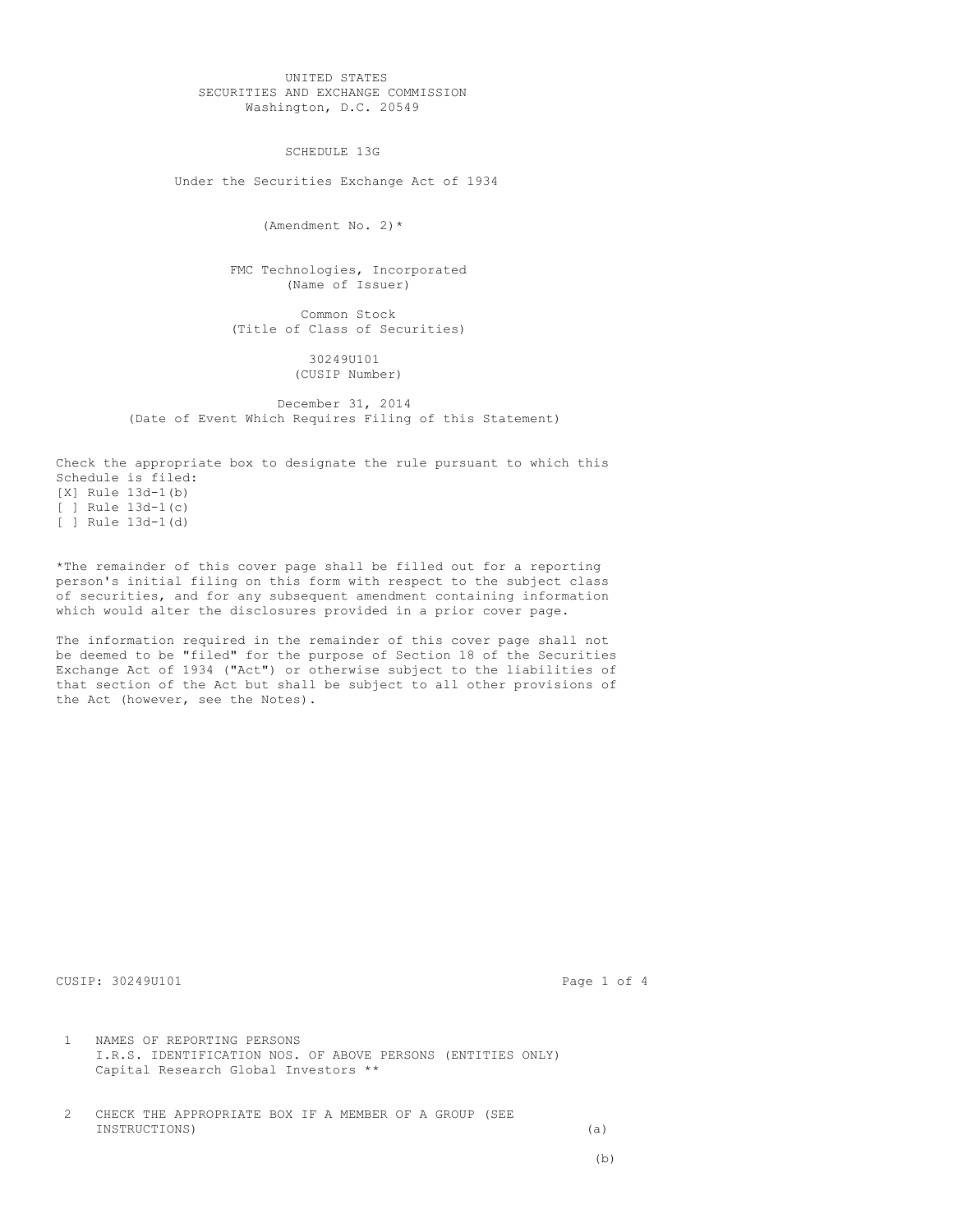UNITED STATES SECURITIES AND EXCHANGE COMMISSION Washington, D.C. 20549

SCHEDULE 13G

Under the Securities Exchange Act of 1934

(Amendment No. 2)\*

FMC Technologies, Incorporated (Name of Issuer)

Common Stock (Title of Class of Securities)

> 30249U101 (CUSIP Number)

December 31, 2014 (Date of Event Which Requires Filing of this Statement)

Check the appropriate box to designate the rule pursuant to which this Schedule is filed: [X] Rule 13d-1(b) [ ] Rule  $13d-1(c)$ [ ] Rule 13d-1(d)

\*The remainder of this cover page shall be filled out for a reporting person's initial filing on this form with respect to the subject class of securities, and for any subsequent amendment containing information which would alter the disclosures provided in a prior cover page.

The information required in the remainder of this cover page shall not be deemed to be "filed" for the purpose of Section 18 of the Securities Exchange Act of 1934 ("Act") or otherwise subject to the liabilities of that section of the Act but shall be subject to all other provisions of the Act (however, see the Notes).

CUSIP: 30249U101 Page 1 of 4

1 NAMES OF REPORTING PERSONS I.R.S. IDENTIFICATION NOS. OF ABOVE PERSONS (ENTITIES ONLY) Capital Research Global Investors \*\*

2 CHECK THE APPROPRIATE BOX IF A MEMBER OF A GROUP (SEE INSTRUCTIONS) (a)

(b)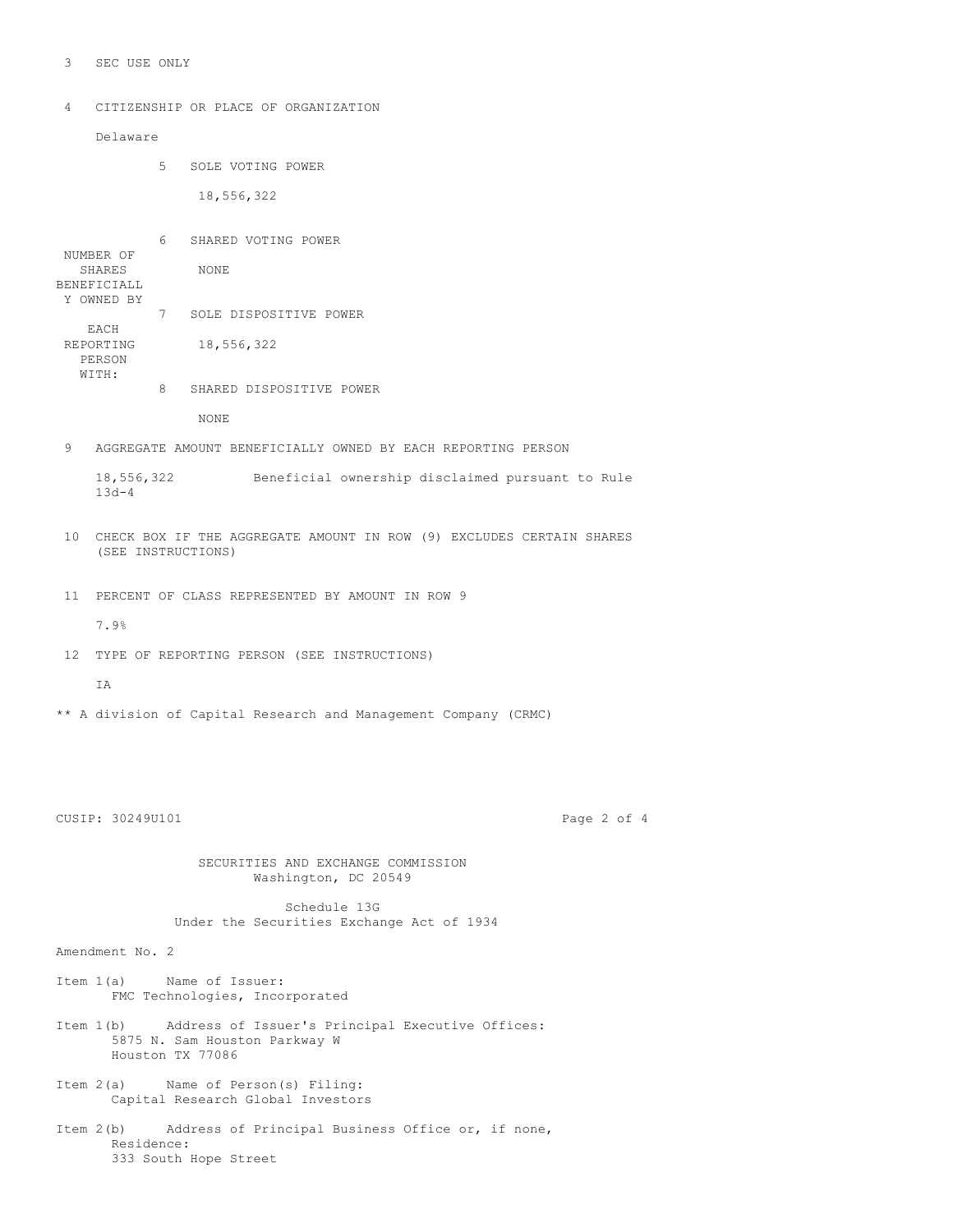3 SEC USE ONLY

4 CITIZENSHIP OR PLACE OF ORGANIZATION

Delaware

5 SOLE VOTING POWER

18,556,322

6 SHARED VOTING POWER NUMBER OF SHARES NONE BENEFICIALL Y OWNED BY 7 SOLE DISPOSITIVE POWER EACH REPORTING 18,556,322 PERSON WITH: 8 SHARED DISPOSITIVE POWER

NONE

9 AGGREGATE AMOUNT BENEFICIALLY OWNED BY EACH REPORTING PERSON

18,556,322 Beneficial ownership disclaimed pursuant to Rule 13d-4

- 10 CHECK BOX IF THE AGGREGATE AMOUNT IN ROW (9) EXCLUDES CERTAIN SHARES (SEE INSTRUCTIONS)
- 11 PERCENT OF CLASS REPRESENTED BY AMOUNT IN ROW 9
	- 7.9%
- 12 TYPE OF REPORTING PERSON (SEE INSTRUCTIONS)

T<sub>A</sub>

\*\* A division of Capital Research and Management Company (CRMC)

CUSIP: 30249U101 Page 2 of 4

SECURITIES AND EXCHANGE COMMISSION Washington, DC 20549

Schedule 13G Under the Securities Exchange Act of 1934

Amendment No. 2

- Item 1(a) Name of Issuer: FMC Technologies, Incorporated
- Item 1(b) Address of Issuer's Principal Executive Offices: 5875 N. Sam Houston Parkway W Houston TX 77086
- Item 2(a) Name of Person(s) Filing: Capital Research Global Investors
- Item 2(b) Address of Principal Business Office or, if none, Residence: 333 South Hope Street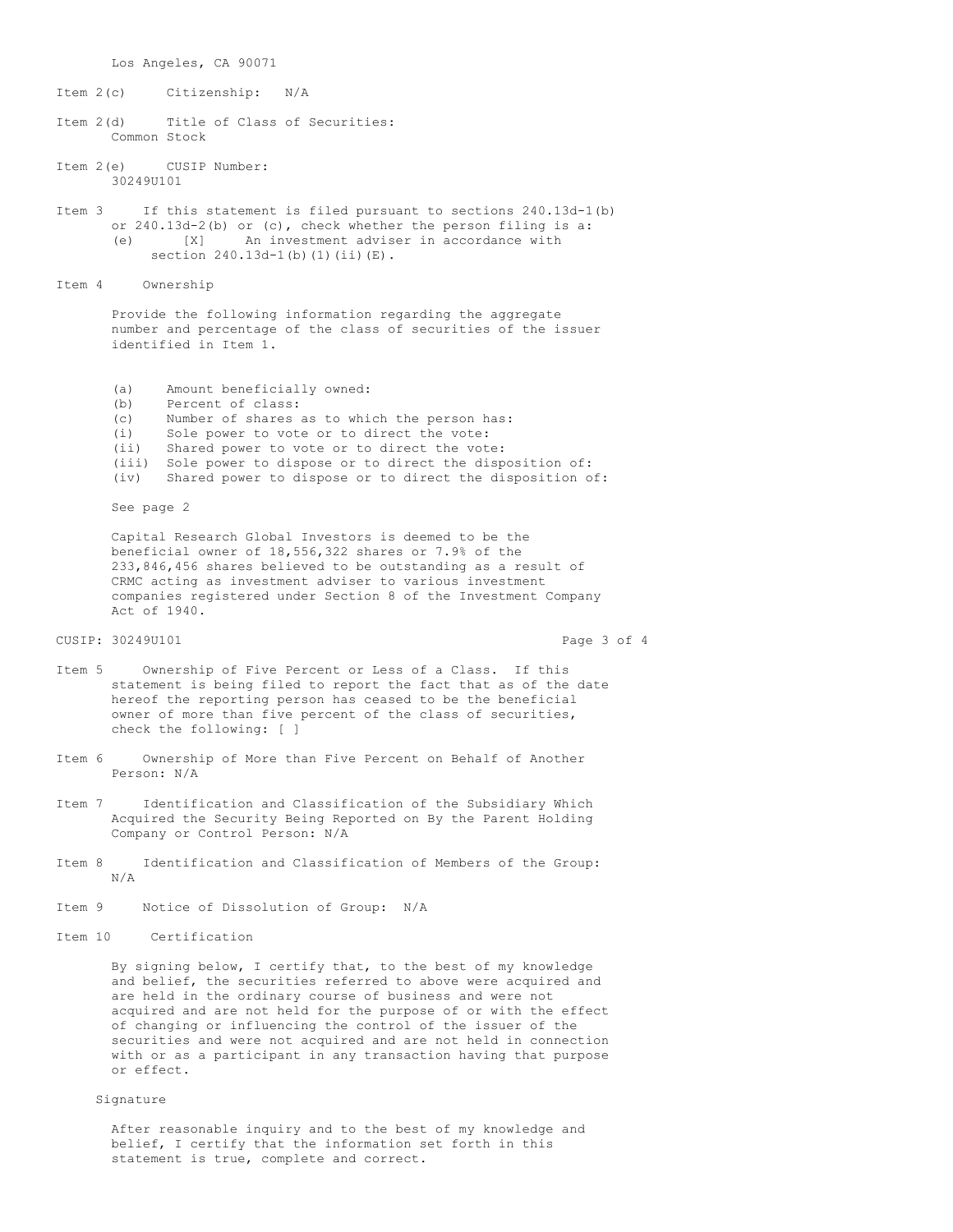Los Angeles, CA 90071

Item 2(c) Citizenship: N/A

Item 2(d) Title of Class of Securities: Common Stock

Item 2(e) CUSIP Number: 30249U101

Item 3 If this statement is filed pursuant to sections 240.13d-1(b) or 240.13d-2(b) or (c), check whether the person filing is a: (e) [X] An investment adviser in accordance with section 240.13d-1(b)(1)(ii)(E).

Item 4 Ownership

Provide the following information regarding the aggregate number and percentage of the class of securities of the issuer identified in Item 1.

- (a) Amount beneficially owned:<br>(b) Percent of class:
- Percent of class:
- (c) Number of shares as to which the person has:
- (i) Sole power to vote or to direct the vote:
- (ii) Shared power to vote or to direct the vote:
- (iii) Sole power to dispose or to direct the disposition of:
- (iv) Shared power to dispose or to direct the disposition of:

See page 2

Capital Research Global Investors is deemed to be the beneficial owner of 18,556,322 shares or 7.9% of the 233,846,456 shares believed to be outstanding as a result of CRMC acting as investment adviser to various investment companies registered under Section 8 of the Investment Company Act of 1940.

## CUSIP: 30249U101 Page 3 of 4

- Item 5 Ownership of Five Percent or Less of a Class. If this statement is being filed to report the fact that as of the date hereof the reporting person has ceased to be the beneficial owner of more than five percent of the class of securities, check the following: [ ]
- Item 6 Ownership of More than Five Percent on Behalf of Another Person: N/A
- Item 7 Identification and Classification of the Subsidiary Which Acquired the Security Being Reported on By the Parent Holding Company or Control Person: N/A
- Item 8 Identification and Classification of Members of the Group: N/A
- Item 9 Notice of Dissolution of Group: N/A
- Item 10 Certification

By signing below, I certify that, to the best of my knowledge and belief, the securities referred to above were acquired and are held in the ordinary course of business and were not acquired and are not held for the purpose of or with the effect of changing or influencing the control of the issuer of the securities and were not acquired and are not held in connection with or as a participant in any transaction having that purpose or effect.

## Signature

After reasonable inquiry and to the best of my knowledge and belief, I certify that the information set forth in this statement is true, complete and correct.